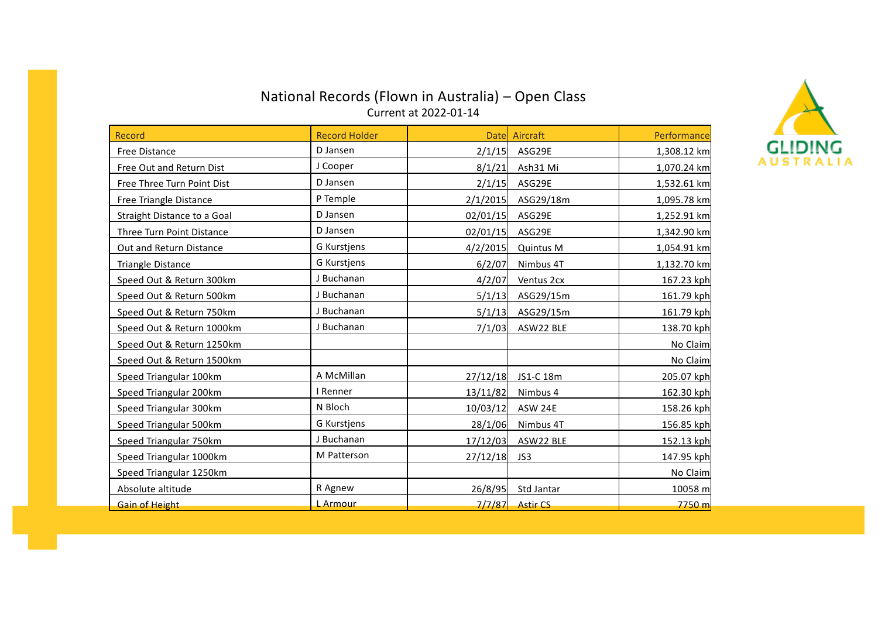# National Records (Flown in Australia) – Open Class Current at 2022-01-14



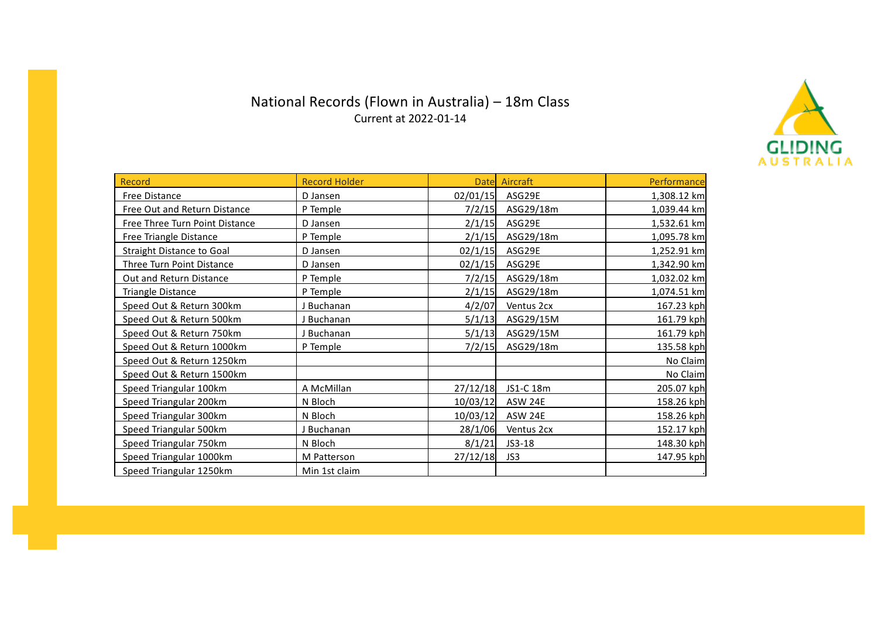# National Records (Flown in Australia) – 18m Class Current at 2022-01-14



| <b>Record</b>                    | <b>Record Holder</b> |          | Date Aircraft | Performance |
|----------------------------------|----------------------|----------|---------------|-------------|
| Free Distance                    | D Jansen             | 02/01/15 | ASG29E        | 1,308.12 km |
| Free Out and Return Distance     | P Temple             | 7/2/15   | ASG29/18m     | 1,039.44 km |
| Free Three Turn Point Distance   | D Jansen             | 2/1/15   | ASG29E        | 1,532.61 km |
| Free Triangle Distance           | P Temple             | 2/1/15   | ASG29/18m     | 1,095.78 km |
| <b>Straight Distance to Goal</b> | D Jansen             | 02/1/15  | ASG29E        | 1,252.91 km |
| Three Turn Point Distance        | D Jansen             | 02/1/15  | ASG29E        | 1,342.90 km |
| Out and Return Distance          | P Temple             | 7/2/15   | ASG29/18m     | 1,032.02 km |
| <b>Triangle Distance</b>         | P Temple             | 2/1/15   | ASG29/18m     | 1,074.51 km |
| Speed Out & Return 300km         | J Buchanan           | 4/2/07   | Ventus 2cx    | 167.23 kph  |
| Speed Out & Return 500km         | J Buchanan           | 5/1/13   | ASG29/15M     | 161.79 kph  |
| Speed Out & Return 750km         | J Buchanan           | 5/1/13   | ASG29/15M     | 161.79 kph  |
| Speed Out & Return 1000km        | P Temple             | 7/2/15   | ASG29/18m     | 135.58 kph  |
| Speed Out & Return 1250km        |                      |          |               | No Claim    |
| Speed Out & Return 1500km        |                      |          |               | No Claim    |
| Speed Triangular 100km           | A McMillan           | 27/12/18 | JS1-C 18m     | 205.07 kph  |
| Speed Triangular 200km           | N Bloch              | 10/03/12 | ASW 24E       | 158.26 kph  |
| Speed Triangular 300km           | N Bloch              | 10/03/12 | ASW 24E       | 158.26 kph  |
| Speed Triangular 500km           | J Buchanan           | 28/1/06  | Ventus 2cx    | 152.17 kph  |
| Speed Triangular 750km           | N Bloch              | 8/1/21   | JS3-18        | 148.30 kph  |
| Speed Triangular 1000km          | M Patterson          | 27/12/18 | JS3           | 147.95 kph  |
| Speed Triangular 1250km          | Min 1st claim        |          |               |             |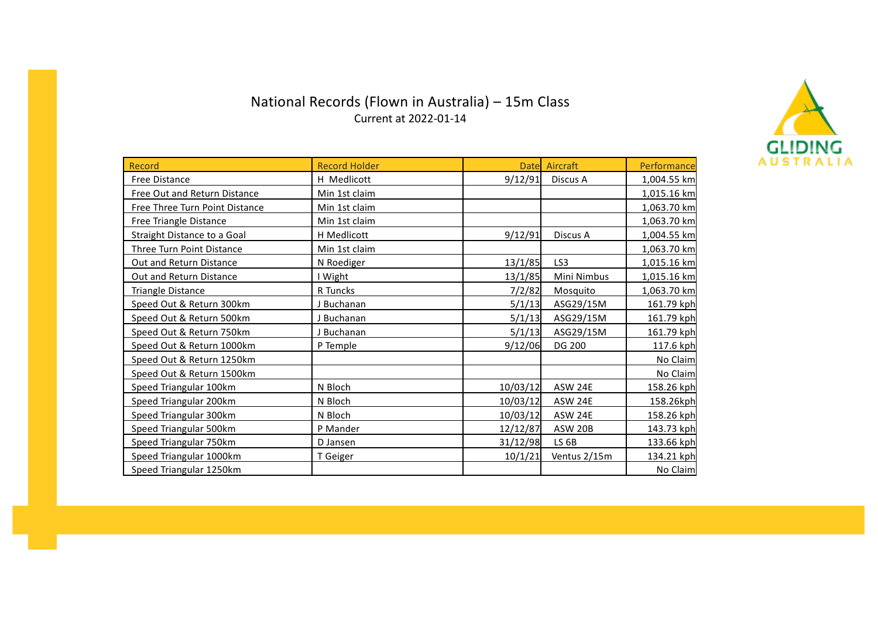# National Records (Flown in Australia) – 15m Class Current at 2022-01-14



| Record                         | <b>Record Holder</b> |          | Datel Aircraft   | Performance |
|--------------------------------|----------------------|----------|------------------|-------------|
| Free Distance                  | H Medlicott          | 9/12/91  | Discus A         | 1,004.55 km |
| Free Out and Return Distance   | Min 1st claim        |          |                  | 1,015.16 km |
| Free Three Turn Point Distance | Min 1st claim        |          |                  | 1,063.70 km |
| Free Triangle Distance         | Min 1st claim        |          |                  | 1,063.70 km |
| Straight Distance to a Goal    | H Medlicott          | 9/12/91  | Discus A         | 1,004.55 km |
| Three Turn Point Distance      | Min 1st claim        |          |                  | 1,063.70 km |
| Out and Return Distance        | N Roediger           | 13/1/85  | LS3              | 1,015.16 km |
| Out and Return Distance        | I Wight              | 13/1/85  | Mini Nimbus      | 1,015.16 km |
| <b>Triangle Distance</b>       | R Tuncks             | 7/2/82   | Mosquito         | 1,063.70 km |
| Speed Out & Return 300km       | J Buchanan           | 5/1/13   | ASG29/15M        | 161.79 kph  |
| Speed Out & Return 500km       | J Buchanan           | 5/1/13   | ASG29/15M        | 161.79 kph  |
| Speed Out & Return 750km       | J Buchanan           | 5/1/13   | ASG29/15M        | 161.79 kph  |
| Speed Out & Return 1000km      | P Temple             | 9/12/06  | DG 200           | 117.6 kph   |
| Speed Out & Return 1250km      |                      |          |                  | No Claim    |
| Speed Out & Return 1500km      |                      |          |                  | No Claim    |
| Speed Triangular 100km         | N Bloch              | 10/03/12 | ASW 24E          | 158.26 kph  |
| Speed Triangular 200km         | N Bloch              | 10/03/12 | ASW 24E          | 158.26kph   |
| Speed Triangular 300km         | N Bloch              | 10/03/12 | ASW 24E          | 158.26 kph  |
| Speed Triangular 500km         | P Mander             | 12/12/87 | <b>ASW 20B</b>   | 143.73 kph  |
| Speed Triangular 750km         | D Jansen             | 31/12/98 | LS <sub>6B</sub> | 133.66 kph  |
| Speed Triangular 1000km        | T Geiger             | 10/1/21  | Ventus 2/15m     | 134.21 kph  |
| Speed Triangular 1250km        |                      |          |                  | No Claim    |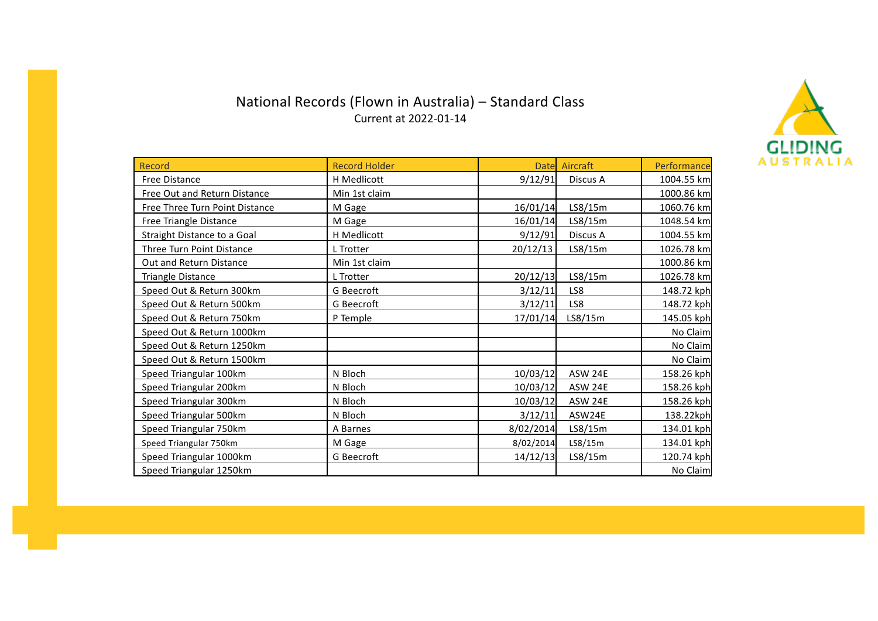### National Records (Flown in Australia) – Standard Class Current at 2022-01-14



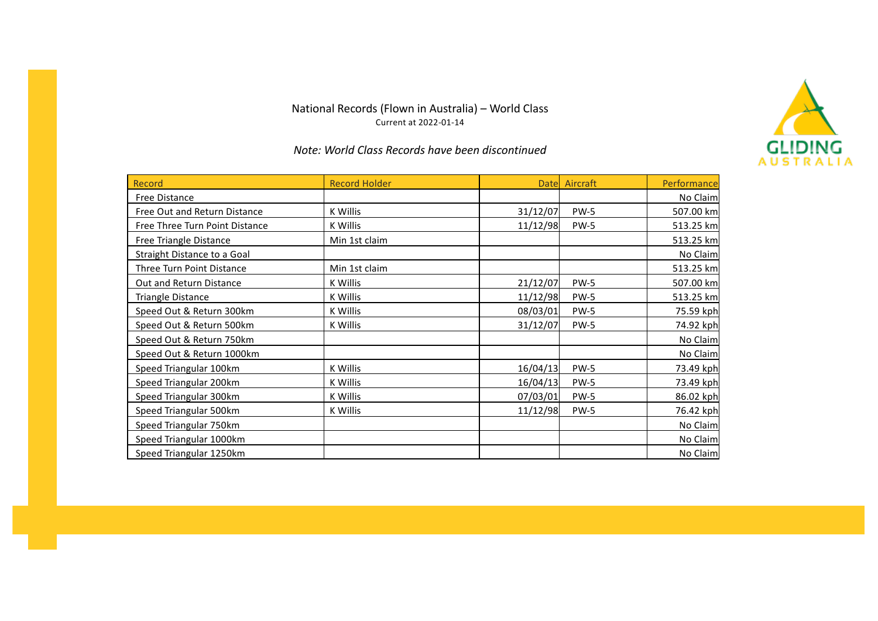#### National Records (Flown in Australia) – World Class Current at 2022-01-14





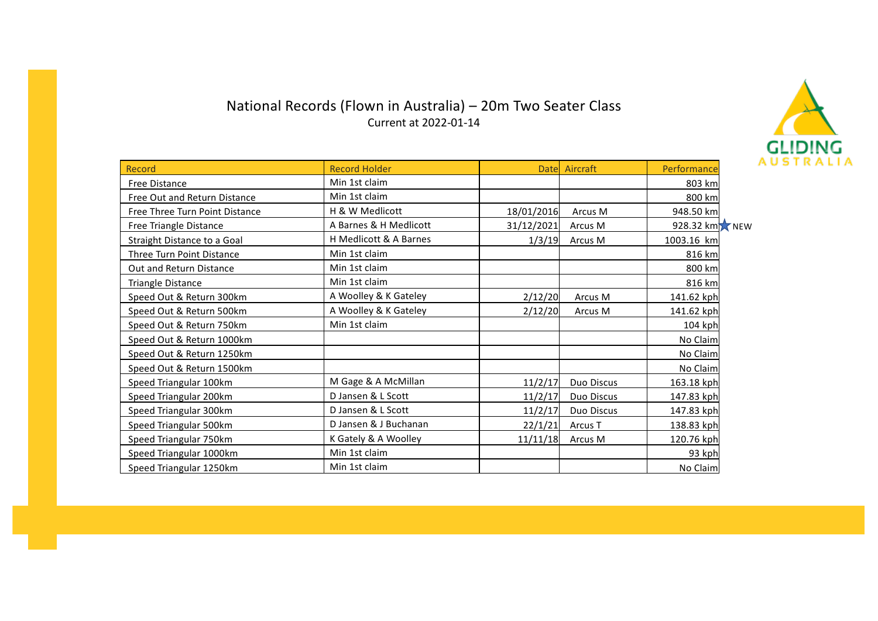#### National Records (Flown in Australia) – 20m Two Seater Class Current at 2022-01-14